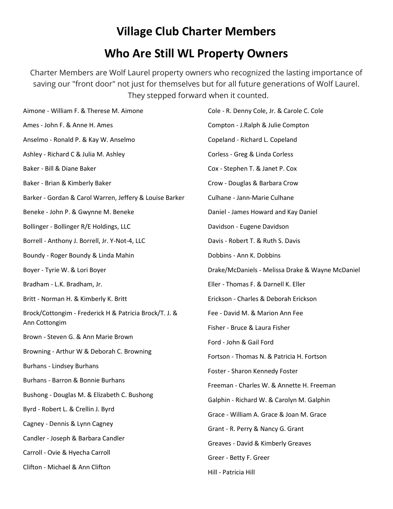# **Village Club Charter Members**

#### **Who Are Still WL Property Owners**

Charter Members are Wolf Laurel property owners who recognized the lasting importance of saving our "front door" not just for themselves but for all future generations of Wolf Laurel. They stepped forward when it counted.

| Aimone - William F. & Therese M. Aimone                                 | Cole - R. Denny Cole, Jr. & Carole C. Cole       |
|-------------------------------------------------------------------------|--------------------------------------------------|
| Ames - John F. & Anne H. Ames                                           | Compton - J.Ralph & Julie Compton                |
| Anselmo - Ronald P. & Kay W. Anselmo                                    | Copeland - Richard L. Copeland                   |
| Ashley - Richard C & Julia M. Ashley                                    | Corless - Greg & Linda Corless                   |
| Baker - Bill & Diane Baker                                              | Cox - Stephen T. & Janet P. Cox                  |
| Baker - Brian & Kimberly Baker                                          | Crow - Douglas & Barbara Crow                    |
| Barker - Gordan & Carol Warren, Jeffery & Louise Barker                 | Culhane - Jann-Marie Culhane                     |
| Beneke - John P. & Gwynne M. Beneke                                     | Daniel - James Howard and Kay Daniel             |
| Bollinger - Bollinger R/E Holdings, LLC                                 | Davidson - Eugene Davidson                       |
| Borrell - Anthony J. Borrell, Jr. Y-Not-4, LLC                          | Davis - Robert T. & Ruth S. Davis                |
| Boundy - Roger Boundy & Linda Mahin                                     | Dobbins - Ann K. Dobbins                         |
| Boyer - Tyrie W. & Lori Boyer                                           | Drake/McDaniels - Melissa Drake & Wayne McDaniel |
| Bradham - L.K. Bradham, Jr.                                             | Eller - Thomas F. & Darnell K. Eller             |
| Britt - Norman H. & Kimberly K. Britt                                   | Erickson - Charles & Deborah Erickson            |
| Brock/Cottongim - Frederick H & Patricia Brock/T. J. &<br>Ann Cottongim | Fee - David M. & Marion Ann Fee                  |
| Brown - Steven G. & Ann Marie Brown                                     | Fisher - Bruce & Laura Fisher                    |
| Browning - Arthur W & Deborah C. Browning                               | Ford - John & Gail Ford                          |
| Burhans - Lindsey Burhans                                               | Fortson - Thomas N. & Patricia H. Fortson        |
|                                                                         | Foster - Sharon Kennedy Foster                   |
| Burhans - Barron & Bonnie Burhans                                       | Freeman - Charles W. & Annette H. Freeman        |
| Bushong - Douglas M. & Elizabeth C. Bushong                             | Galphin - Richard W. & Carolyn M. Galphin        |
| Byrd - Robert L. & Crellin J. Byrd                                      | Grace - William A. Grace & Joan M. Grace         |
| Cagney - Dennis & Lynn Cagney                                           | Grant - R. Perry & Nancy G. Grant                |
| Candler - Joseph & Barbara Candler                                      | Greaves - David & Kimberly Greaves               |
| Carroll - Ovie & Hyecha Carroll                                         | Greer - Betty F. Greer                           |
| Clifton - Michael & Ann Clifton                                         | Hill - Patricia Hill                             |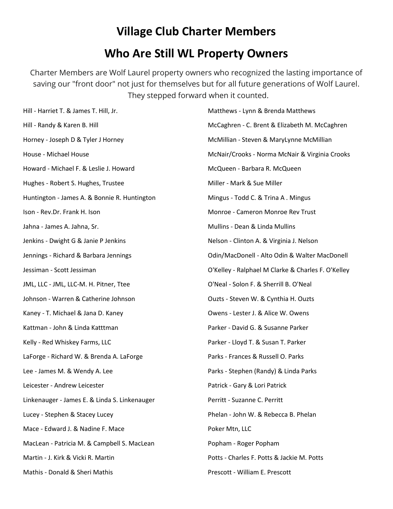# **Village Club Charter Members**

#### **Who Are Still WL Property Owners**

Charter Members are Wolf Laurel property owners who recognized the lasting importance of saving our "front door" not just for themselves but for all future generations of Wolf Laurel. They stepped forward when it counted.

| Hill - Harriet T. & James T. Hill, Jr.        | Matthews - Lynn & Brenda Matthews                  |
|-----------------------------------------------|----------------------------------------------------|
| Hill - Randy & Karen B. Hill                  | McCaghren - C. Brent & Elizabeth M. McCaghren      |
| Horney - Joseph D & Tyler J Horney            | McMillian - Steven & MaryLynne McMillian           |
| House - Michael House                         | McNair/Crooks - Norma McNair & Virginia Crooks     |
| Howard - Michael F. & Leslie J. Howard        | McQueen - Barbara R. McQueen                       |
| Hughes - Robert S. Hughes, Trustee            | Miller - Mark & Sue Miller                         |
| Huntington - James A. & Bonnie R. Huntington  | Mingus - Todd C. & Trina A. Mingus                 |
| Ison - Rev.Dr. Frank H. Ison                  | Monroe - Cameron Monroe Rev Trust                  |
| Jahna - James A. Jahna, Sr.                   | Mullins - Dean & Linda Mullins                     |
| Jenkins - Dwight G & Janie P Jenkins          | Nelson - Clinton A. & Virginia J. Nelson           |
| Jennings - Richard & Barbara Jennings         | Odin/MacDonell - Alto Odin & Walter MacDonell      |
| Jessiman - Scott Jessiman                     | O'Kelley - Ralphael M Clarke & Charles F. O'Kelley |
| JML, LLC - JML, LLC-M. H. Pitner, Ttee        | O'Neal - Solon F. & Sherrill B. O'Neal             |
| Johnson - Warren & Catherine Johnson          | Ouzts - Steven W. & Cynthia H. Ouzts               |
| Kaney - T. Michael & Jana D. Kaney            | Owens - Lester J. & Alice W. Owens                 |
| Kattman - John & Linda Katttman               | Parker - David G. & Susanne Parker                 |
| Kelly - Red Whiskey Farms, LLC                | Parker - Lloyd T. & Susan T. Parker                |
| LaForge - Richard W. & Brenda A. LaForge      | Parks - Frances & Russell O. Parks                 |
| Lee - James M. & Wendy A. Lee                 | Parks - Stephen (Randy) & Linda Parks              |
| Leicester - Andrew Leicester                  | Patrick - Gary & Lori Patrick                      |
| Linkenauger - James E. & Linda S. Linkenauger | Perritt - Suzanne C. Perritt                       |
| Lucey - Stephen & Stacey Lucey                | Phelan - John W. & Rebecca B. Phelan               |
| Mace - Edward J. & Nadine F. Mace             | Poker Mtn, LLC                                     |
| MacLean - Patricia M. & Campbell S. MacLean   | Popham - Roger Popham                              |
| Martin - J. Kirk & Vicki R. Martin            | Potts - Charles F. Potts & Jackie M. Potts         |
| Mathis - Donald & Sheri Mathis                | Prescott - William E. Prescott                     |